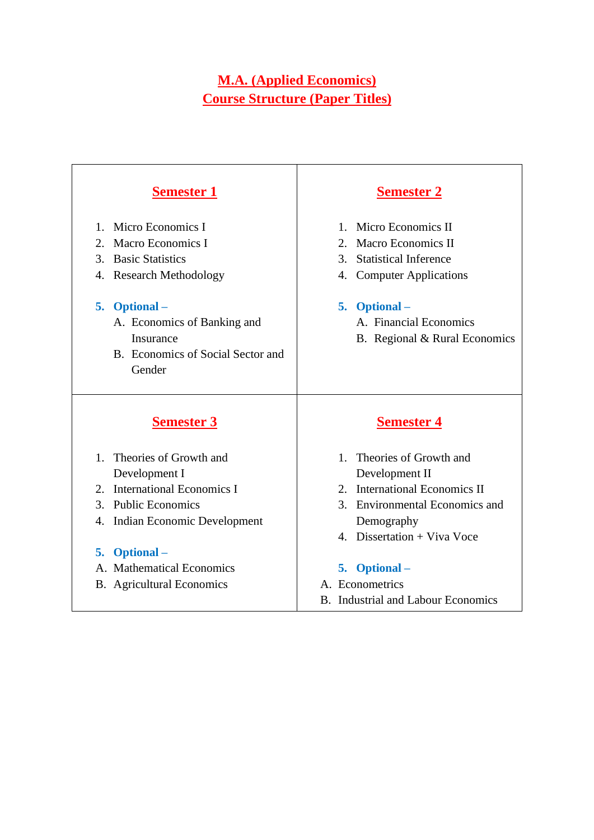# **M.A. (Applied Economics) Course Structure (Paper Titles)**

| <b>Semester 1</b>                                                                                                                                                                                                              | <b>Semester 2</b>                                                                                                                                                                                       |
|--------------------------------------------------------------------------------------------------------------------------------------------------------------------------------------------------------------------------------|---------------------------------------------------------------------------------------------------------------------------------------------------------------------------------------------------------|
| Micro Economics I<br>$1 \quad$<br>2. Macro Economics I<br>3. Basic Statistics<br>4. Research Methodology<br><b>Optional</b> –<br>5.<br>A. Economics of Banking and<br>Insurance<br>B. Economics of Social Sector and<br>Gender | 1. Micro Economics II<br>2. Macro Economics II<br><b>Statistical Inference</b><br>$\mathcal{E}$<br>4. Computer Applications<br>5. Optional –<br>A. Financial Economics<br>B. Regional & Rural Economics |
| <b>Semester 3</b>                                                                                                                                                                                                              | <b>Semester 4</b>                                                                                                                                                                                       |
| Theories of Growth and<br>$1_{-}$<br>Development I<br>2. International Economics I<br>3. Public Economics<br>4. Indian Economic Development                                                                                    | Theories of Growth and<br>1<br>Development II<br>2. International Economics II<br>3. Environmental Economics and<br>Demography<br>4. Dissertation + Viva Voce                                           |
| 5. Optional –<br>A. Mathematical Economics<br><b>B.</b> Agricultural Economics                                                                                                                                                 | 5. Optional -<br>A. Econometrics<br><b>B.</b> Industrial and Labour Economics                                                                                                                           |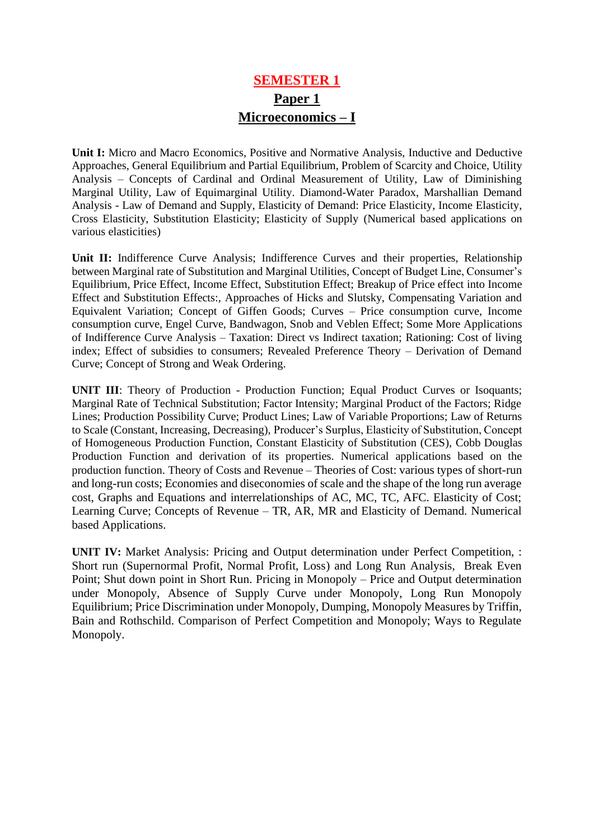# **SEMESTER 1 Paper 1 Microeconomics – I**

**Unit I:** Micro and Macro Economics, Positive and Normative Analysis, Inductive and Deductive Approaches, General Equilibrium and Partial Equilibrium, Problem of Scarcity and Choice, Utility Analysis – Concepts of Cardinal and Ordinal Measurement of Utility, Law of Diminishing Marginal Utility, Law of Equimarginal Utility. Diamond-Water Paradox, Marshallian Demand Analysis - Law of Demand and Supply, Elasticity of Demand: Price Elasticity, Income Elasticity, Cross Elasticity, Substitution Elasticity; Elasticity of Supply (Numerical based applications on various elasticities)

**Unit II:** Indifference Curve Analysis; Indifference Curves and their properties, Relationship between Marginal rate of Substitution and Marginal Utilities, Concept of Budget Line, Consumer's Equilibrium, Price Effect, Income Effect, Substitution Effect; Breakup of Price effect into Income Effect and Substitution Effects:, Approaches of Hicks and Slutsky, Compensating Variation and Equivalent Variation; Concept of Giffen Goods; Curves – Price consumption curve, Income consumption curve, Engel Curve, Bandwagon, Snob and Veblen Effect; Some More Applications of Indifference Curve Analysis – Taxation: Direct vs Indirect taxation; Rationing: Cost of living index; Effect of subsidies to consumers; Revealed Preference Theory – Derivation of Demand Curve; Concept of Strong and Weak Ordering.

**UNIT III**: Theory of Production - Production Function; Equal Product Curves or Isoquants; Marginal Rate of Technical Substitution; Factor Intensity; Marginal Product of the Factors; Ridge Lines; Production Possibility Curve; Product Lines; Law of Variable Proportions; Law of Returns to Scale (Constant, Increasing, Decreasing), Producer's Surplus, Elasticity of Substitution, Concept of Homogeneous Production Function, Constant Elasticity of Substitution (CES), Cobb Douglas Production Function and derivation of its properties. Numerical applications based on the production function. Theory of Costs and Revenue – Theories of Cost: various types of short-run and long-run costs; Economies and diseconomies of scale and the shape of the long run average cost, Graphs and Equations and interrelationships of AC, MC, TC, AFC. Elasticity of Cost; Learning Curve; Concepts of Revenue – TR, AR, MR and Elasticity of Demand. Numerical based Applications.

**UNIT IV:** Market Analysis: Pricing and Output determination under Perfect Competition, : Short run (Supernormal Profit, Normal Profit, Loss) and Long Run Analysis, Break Even Point; Shut down point in Short Run. Pricing in Monopoly – Price and Output determination under Monopoly, Absence of Supply Curve under Monopoly, Long Run Monopoly Equilibrium; Price Discrimination under Monopoly, Dumping, Monopoly Measures by Triffin, Bain and Rothschild. Comparison of Perfect Competition and Monopoly; Ways to Regulate Monopoly.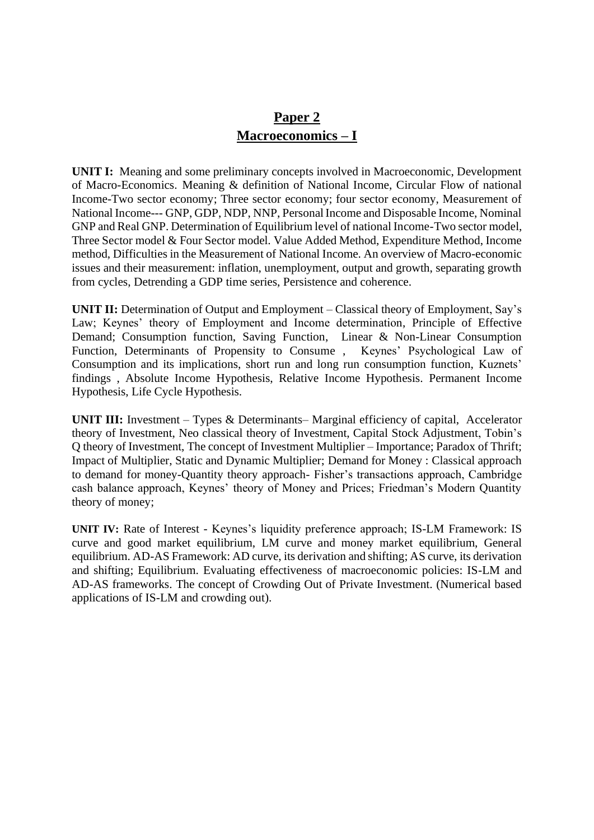## **Paper 2 Macroeconomics – I**

**UNIT I:** Meaning and some preliminary concepts involved in Macroeconomic, Development of Macro-Economics. Meaning & definition of National Income, Circular Flow of national Income-Two sector economy; Three sector economy; four sector economy, Measurement of National Income--- GNP, GDP, NDP, NNP, Personal Income and Disposable Income, Nominal GNP and Real GNP. Determination of Equilibrium level of national Income-Two sector model, Three Sector model & Four Sector model. Value Added Method, Expenditure Method, Income method, Difficulties in the Measurement of National Income. An overview of Macro-economic issues and their measurement: inflation, unemployment, output and growth, separating growth from cycles, Detrending a GDP time series, Persistence and coherence.

**UNIT II:** Determination of Output and Employment – Classical theory of Employment, Say's Law; Keynes' theory of Employment and Income determination, Principle of Effective Demand; Consumption function, Saving Function, Linear & Non-Linear Consumption Function, Determinants of Propensity to Consume , Keynes' Psychological Law of Consumption and its implications, short run and long run consumption function, Kuznets' findings , Absolute Income Hypothesis, Relative Income Hypothesis. Permanent Income Hypothesis, Life Cycle Hypothesis.

**UNIT III:** Investment – Types & Determinants– Marginal efficiency of capital, Accelerator theory of Investment, Neo classical theory of Investment, Capital Stock Adjustment, Tobin's Q theory of Investment, The concept of Investment Multiplier – Importance; Paradox of Thrift; Impact of Multiplier, Static and Dynamic Multiplier; Demand for Money : Classical approach to demand for money-Quantity theory approach- Fisher's transactions approach, Cambridge cash balance approach, Keynes' theory of Money and Prices; Friedman's Modern Quantity theory of money;

**UNIT IV:** Rate of Interest - Keynes's liquidity preference approach; IS-LM Framework: IS curve and good market equilibrium, LM curve and money market equilibrium, General equilibrium. AD-AS Framework: AD curve, its derivation and shifting; AS curve, its derivation and shifting; Equilibrium. Evaluating effectiveness of macroeconomic policies: IS-LM and AD-AS frameworks. The concept of Crowding Out of Private Investment. (Numerical based applications of IS-LM and crowding out).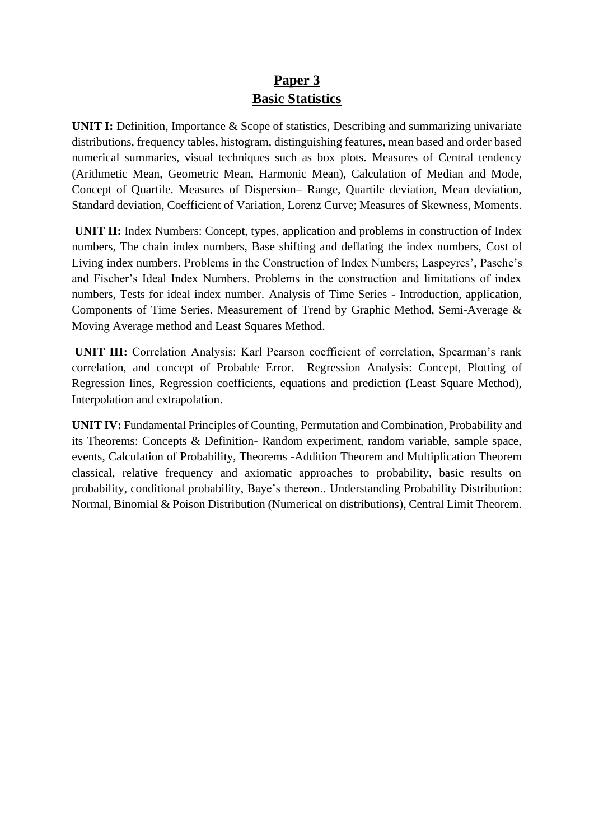# **Paper 3 Basic Statistics**

**UNIT I:** Definition, Importance & Scope of statistics, Describing and summarizing univariate distributions, frequency tables, histogram, distinguishing features, mean based and order based numerical summaries, visual techniques such as box plots. Measures of Central tendency (Arithmetic Mean, Geometric Mean, Harmonic Mean), Calculation of Median and Mode, Concept of Quartile. Measures of Dispersion– Range, Quartile deviation, Mean deviation, Standard deviation, Coefficient of Variation, Lorenz Curve; Measures of Skewness, Moments.

**UNIT II:** Index Numbers: Concept, types, application and problems in construction of Index numbers, The chain index numbers, Base shifting and deflating the index numbers, Cost of Living index numbers. Problems in the Construction of Index Numbers; Laspeyres', Pasche's and Fischer's Ideal Index Numbers. Problems in the construction and limitations of index numbers, Tests for ideal index number. Analysis of Time Series - Introduction, application, Components of Time Series. Measurement of Trend by Graphic Method, Semi-Average & Moving Average method and Least Squares Method.

**UNIT III:** Correlation Analysis: Karl Pearson coefficient of correlation, Spearman's rank correlation, and concept of Probable Error. Regression Analysis: Concept, Plotting of Regression lines, Regression coefficients, equations and prediction (Least Square Method), Interpolation and extrapolation.

**UNIT IV:** Fundamental Principles of Counting, Permutation and Combination, Probability and its Theorems: Concepts & Definition- Random experiment, random variable, sample space, events, Calculation of Probability, Theorems -Addition Theorem and Multiplication Theorem classical, relative frequency and axiomatic approaches to probability, basic results on probability, conditional probability, Baye's thereon.. Understanding Probability Distribution: Normal, Binomial & Poison Distribution (Numerical on distributions), Central Limit Theorem.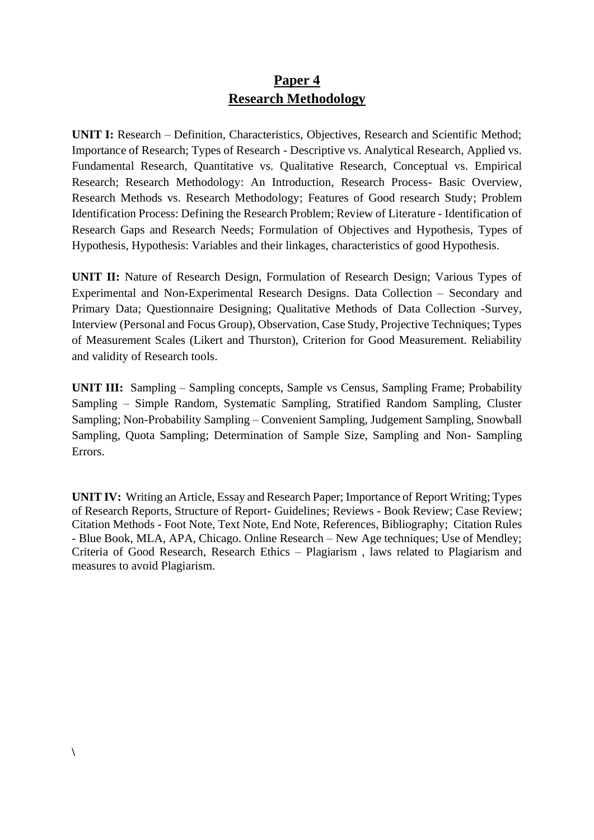## **Paper 4 Research Methodology**

**UNIT I:** Research – Definition, Characteristics, Objectives, Research and Scientific Method; Importance of Research; Types of Research - Descriptive vs. Analytical Research, Applied vs. Fundamental Research, Quantitative vs. Qualitative Research, Conceptual vs. Empirical Research; Research Methodology: An Introduction, Research Process- Basic Overview, Research Methods vs. Research Methodology; Features of Good research Study; Problem Identification Process: Defining the Research Problem; Review of Literature - Identification of Research Gaps and Research Needs; Formulation of Objectives and Hypothesis, Types of Hypothesis, Hypothesis: Variables and their linkages, characteristics of good Hypothesis.

**UNIT II:** Nature of Research Design, Formulation of Research Design; Various Types of Experimental and Non-Experimental Research Designs. Data Collection – Secondary and Primary Data; Questionnaire Designing; Qualitative Methods of Data Collection -Survey, Interview (Personal and Focus Group), Observation, Case Study, Projective Techniques; Types of Measurement Scales (Likert and Thurston), Criterion for Good Measurement. Reliability and validity of Research tools.

**UNIT III:** Sampling – Sampling concepts, Sample vs Census, Sampling Frame; Probability Sampling – Simple Random, Systematic Sampling, Stratified Random Sampling, Cluster Sampling; Non-Probability Sampling – Convenient Sampling, Judgement Sampling, Snowball Sampling, Quota Sampling; Determination of Sample Size, Sampling and Non- Sampling Errors.

**UNIT IV:** Writing an Article, Essay and Research Paper; Importance of Report Writing; Types of Research Reports, Structure of Report- Guidelines; Reviews - Book Review; Case Review; Citation Methods - Foot Note, Text Note, End Note, References, Bibliography; Citation Rules - Blue Book, MLA, APA, Chicago. Online Research – New Age techniques; Use of Mendley; Criteria of Good Research, Research Ethics – Plagiarism , laws related to Plagiarism and measures to avoid Plagiarism.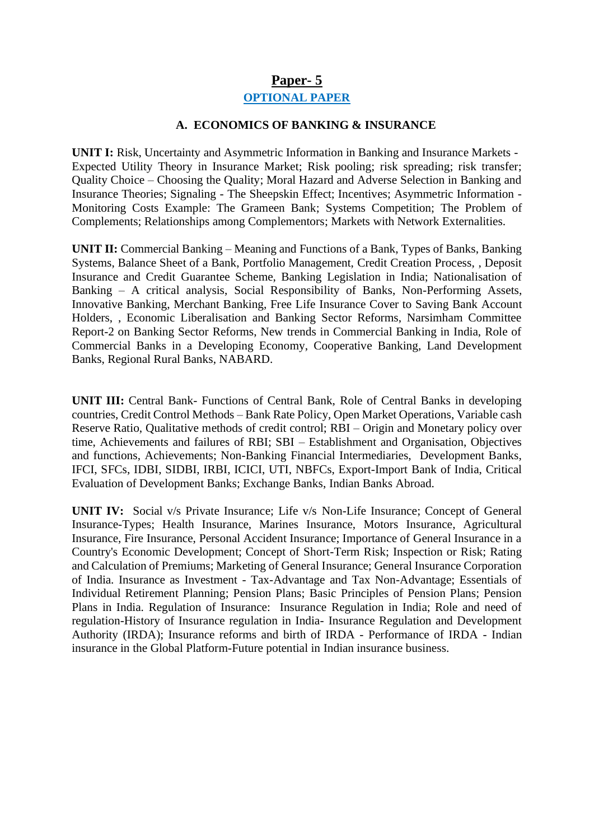#### **Paper- 5**

#### **OPTIONAL PAPER**

#### **A. ECONOMICS OF BANKING & INSURANCE**

**UNIT I:** Risk, Uncertainty and Asymmetric Information in Banking and Insurance Markets -Expected Utility Theory in Insurance Market; Risk pooling; risk spreading; risk transfer; Quality Choice – Choosing the Quality; Moral Hazard and Adverse Selection in Banking and Insurance Theories; Signaling - The Sheepskin Effect; Incentives; Asymmetric Information - Monitoring Costs Example: The Grameen Bank; Systems Competition; The Problem of Complements; Relationships among Complementors; Markets with Network Externalities.

**UNIT II:** Commercial Banking – Meaning and Functions of a Bank, Types of Banks, Banking Systems, Balance Sheet of a Bank, Portfolio Management, Credit Creation Process, , Deposit Insurance and Credit Guarantee Scheme, Banking Legislation in India; Nationalisation of Banking – A critical analysis, Social Responsibility of Banks, Non-Performing Assets, Innovative Banking, Merchant Banking, Free Life Insurance Cover to Saving Bank Account Holders, , Economic Liberalisation and Banking Sector Reforms, Narsimham Committee Report-2 on Banking Sector Reforms, New trends in Commercial Banking in India, Role of Commercial Banks in a Developing Economy, Cooperative Banking, Land Development Banks, Regional Rural Banks, NABARD.

**UNIT III:** Central Bank- Functions of Central Bank, Role of Central Banks in developing countries, Credit Control Methods – Bank Rate Policy, Open Market Operations, Variable cash Reserve Ratio, Qualitative methods of credit control; RBI – Origin and Monetary policy over time, Achievements and failures of RBI; SBI – Establishment and Organisation, Objectives and functions, Achievements; Non-Banking Financial Intermediaries, Development Banks, IFCI, SFCs, IDBI, SIDBI, IRBI, ICICI, UTI, NBFCs, Export-Import Bank of India, Critical Evaluation of Development Banks; Exchange Banks, Indian Banks Abroad.

**UNIT IV:** Social v/s Private Insurance; Life v/s Non-Life Insurance; Concept of General Insurance-Types; Health Insurance, Marines Insurance, Motors Insurance, Agricultural Insurance, Fire Insurance, Personal Accident Insurance; Importance of General Insurance in a Country's Economic Development; Concept of Short-Term Risk; Inspection or Risk; Rating and Calculation of Premiums; Marketing of General Insurance; General Insurance Corporation of India. Insurance as Investment - Tax-Advantage and Tax Non-Advantage; Essentials of Individual Retirement Planning; Pension Plans; Basic Principles of Pension Plans; Pension Plans in India. Regulation of Insurance: Insurance Regulation in India; Role and need of regulation-History of Insurance regulation in India- Insurance Regulation and Development Authority (IRDA); Insurance reforms and birth of IRDA - Performance of IRDA - Indian insurance in the Global Platform-Future potential in Indian insurance business.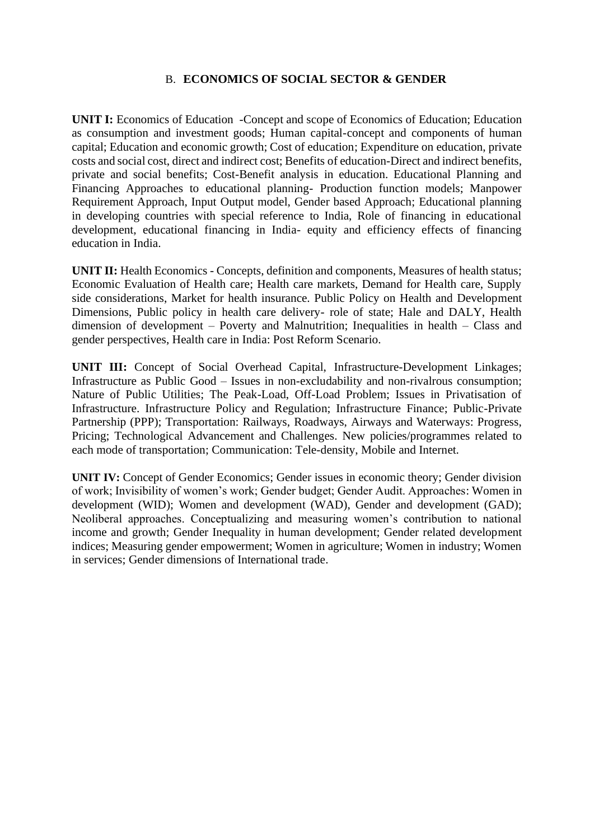#### B. **ECONOMICS OF SOCIAL SECTOR & GENDER**

**UNIT I:** Economics of Education -Concept and scope of Economics of Education; Education as consumption and investment goods; Human capital-concept and components of human capital; Education and economic growth; Cost of education; Expenditure on education, private costs and social cost, direct and indirect cost; Benefits of education-Direct and indirect benefits, private and social benefits; Cost-Benefit analysis in education. Educational Planning and Financing Approaches to educational planning- Production function models; Manpower Requirement Approach, Input Output model, Gender based Approach; Educational planning in developing countries with special reference to India, Role of financing in educational development, educational financing in India- equity and efficiency effects of financing education in India.

**UNIT II:** Health Economics - Concepts, definition and components, Measures of health status; Economic Evaluation of Health care; Health care markets, Demand for Health care, Supply side considerations, Market for health insurance. Public Policy on Health and Development Dimensions, Public policy in health care delivery- role of state; Hale and DALY, Health dimension of development – Poverty and Malnutrition; Inequalities in health – Class and gender perspectives, Health care in India: Post Reform Scenario.

**UNIT III:** Concept of Social Overhead Capital, Infrastructure-Development Linkages; Infrastructure as Public Good – Issues in non-excludability and non-rivalrous consumption; Nature of Public Utilities; The Peak-Load, Off-Load Problem; Issues in Privatisation of Infrastructure. Infrastructure Policy and Regulation; Infrastructure Finance; Public-Private Partnership (PPP); Transportation: Railways, Roadways, Airways and Waterways: Progress, Pricing; Technological Advancement and Challenges. New policies/programmes related to each mode of transportation; Communication: Tele-density, Mobile and Internet.

**UNIT IV:** Concept of Gender Economics; Gender issues in economic theory; Gender division of work; Invisibility of women's work; Gender budget; Gender Audit. Approaches: Women in development (WID); Women and development (WAD), Gender and development (GAD); Neoliberal approaches. Conceptualizing and measuring women's contribution to national income and growth; Gender Inequality in human development; Gender related development indices; Measuring gender empowerment; Women in agriculture; Women in industry; Women in services; Gender dimensions of International trade.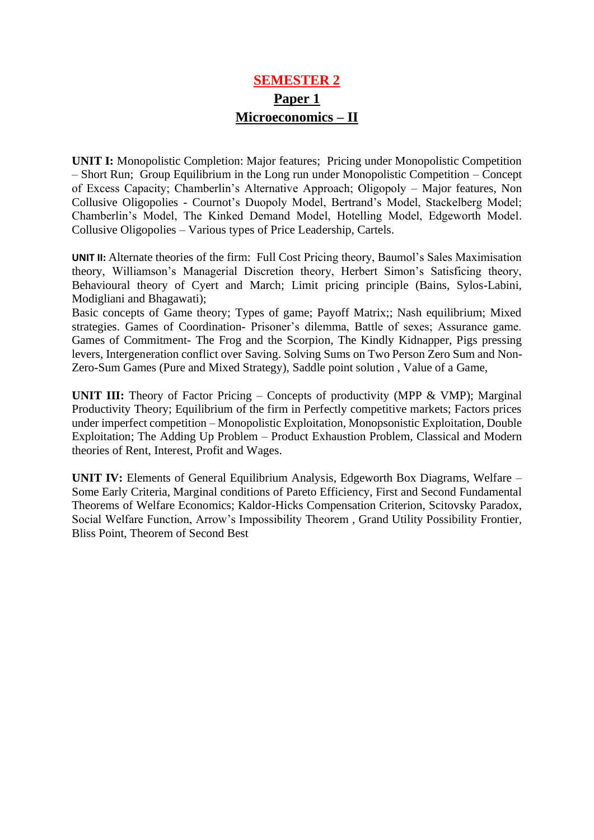# **SEMESTER 2 Paper 1 Microeconomics – II**

**UNIT I:** Monopolistic Completion: Major features; Pricing under Monopolistic Competition – Short Run; Group Equilibrium in the Long run under Monopolistic Competition – Concept of Excess Capacity; Chamberlin's Alternative Approach; Oligopoly – Major features, Non Collusive Oligopolies - Cournot's Duopoly Model, Bertrand's Model, Stackelberg Model; Chamberlin's Model, The Kinked Demand Model, Hotelling Model, Edgeworth Model. Collusive Oligopolies – Various types of Price Leadership, Cartels.

**UNIT II:** Alternate theories of the firm: Full Cost Pricing theory, Baumol's Sales Maximisation theory, Williamson's Managerial Discretion theory, Herbert Simon's Satisficing theory, Behavioural theory of Cyert and March; Limit pricing principle (Bains, Sylos-Labini, Modigliani and Bhagawati);

Basic concepts of Game theory; Types of game; Payoff Matrix;; Nash equilibrium; Mixed strategies. Games of Coordination- Prisoner's dilemma, Battle of sexes; Assurance game. Games of Commitment- The Frog and the Scorpion, The Kindly Kidnapper, Pigs pressing levers, Intergeneration conflict over Saving. Solving Sums on Two Person Zero Sum and Non-Zero-Sum Games (Pure and Mixed Strategy), Saddle point solution , Value of a Game,

**UNIT III:** Theory of Factor Pricing – Concepts of productivity (MPP & VMP); Marginal Productivity Theory; Equilibrium of the firm in Perfectly competitive markets; Factors prices under imperfect competition – Monopolistic Exploitation, Monopsonistic Exploitation, Double Exploitation; The Adding Up Problem – Product Exhaustion Problem, Classical and Modern theories of Rent, Interest, Profit and Wages.

**UNIT IV:** Elements of General Equilibrium Analysis, Edgeworth Box Diagrams, Welfare – Some Early Criteria, Marginal conditions of Pareto Efficiency, First and Second Fundamental Theorems of Welfare Economics; Kaldor-Hicks Compensation Criterion, Scitovsky Paradox, Social Welfare Function, Arrow's Impossibility Theorem , Grand Utility Possibility Frontier, Bliss Point, Theorem of Second Best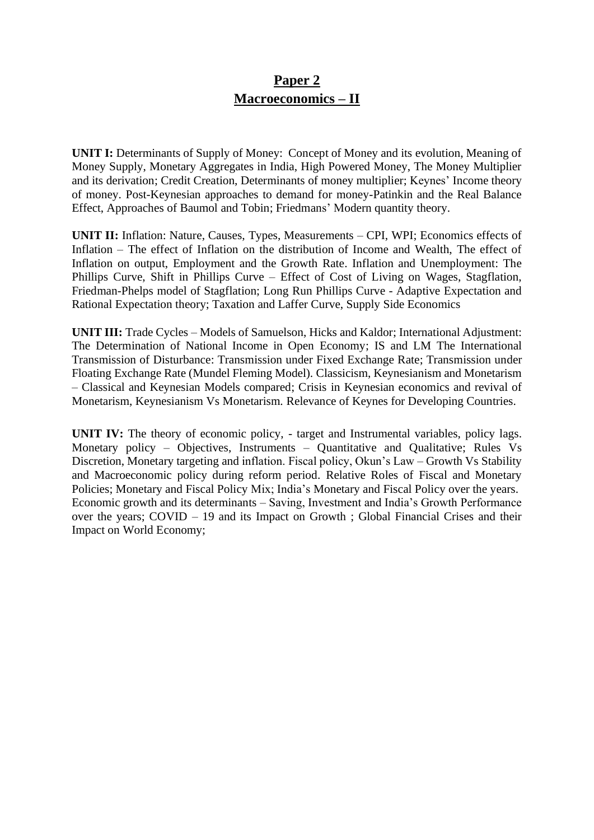### **Paper 2 Macroeconomics – II**

**UNIT I:** Determinants of Supply of Money: Concept of Money and its evolution, Meaning of Money Supply, Monetary Aggregates in India, High Powered Money, The Money Multiplier and its derivation; Credit Creation, Determinants of money multiplier; Keynes' Income theory of money. Post-Keynesian approaches to demand for money-Patinkin and the Real Balance Effect, Approaches of Baumol and Tobin; Friedmans' Modern quantity theory.

**UNIT II:** Inflation: Nature, Causes, Types, Measurements – CPI, WPI; Economics effects of Inflation – The effect of Inflation on the distribution of Income and Wealth, The effect of Inflation on output, Employment and the Growth Rate. Inflation and Unemployment: The Phillips Curve, Shift in Phillips Curve – Effect of Cost of Living on Wages, Stagflation, Friedman-Phelps model of Stagflation; Long Run Phillips Curve - Adaptive Expectation and Rational Expectation theory; Taxation and Laffer Curve, Supply Side Economics

**UNIT III:** Trade Cycles – Models of Samuelson, Hicks and Kaldor; International Adjustment: The Determination of National Income in Open Economy; IS and LM The International Transmission of Disturbance: Transmission under Fixed Exchange Rate; Transmission under Floating Exchange Rate (Mundel Fleming Model). Classicism, Keynesianism and Monetarism – Classical and Keynesian Models compared; Crisis in Keynesian economics and revival of Monetarism, Keynesianism Vs Monetarism. Relevance of Keynes for Developing Countries.

**UNIT IV:** The theory of economic policy, - target and Instrumental variables, policy lags. Monetary policy – Objectives, Instruments – Quantitative and Qualitative; Rules Vs Discretion, Monetary targeting and inflation. Fiscal policy, Okun's Law – Growth Vs Stability and Macroeconomic policy during reform period. Relative Roles of Fiscal and Monetary Policies; Monetary and Fiscal Policy Mix; India's Monetary and Fiscal Policy over the years. Economic growth and its determinants – Saving, Investment and India's Growth Performance over the years; COVID – 19 and its Impact on Growth ; Global Financial Crises and their Impact on World Economy;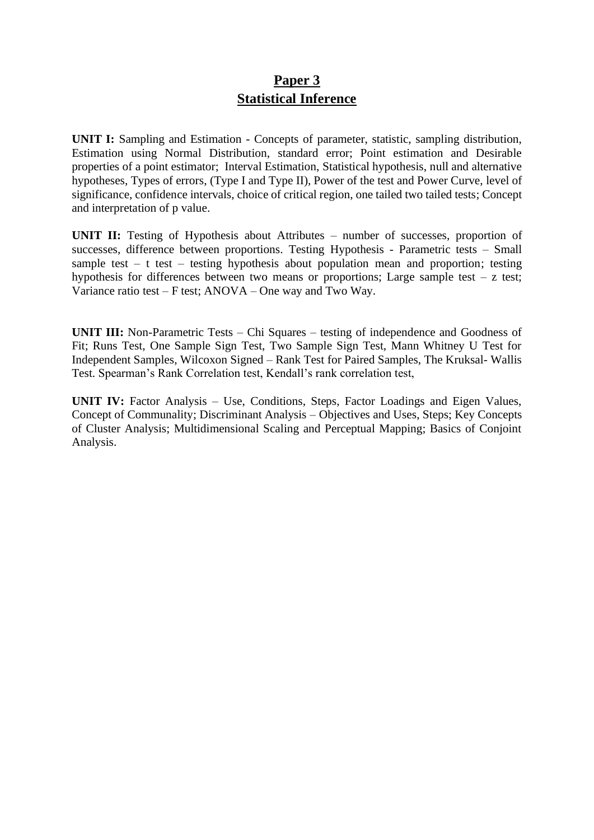# **Paper 3 Statistical Inference**

**UNIT I:** Sampling and Estimation - Concepts of parameter, statistic, sampling distribution, Estimation using Normal Distribution, standard error; Point estimation and Desirable properties of a point estimator; Interval Estimation, Statistical hypothesis, null and alternative hypotheses, Types of errors, (Type I and Type II), Power of the test and Power Curve, level of significance, confidence intervals, choice of critical region, one tailed two tailed tests; Concept and interpretation of p value.

**UNIT II:** Testing of Hypothesis about Attributes – number of successes, proportion of successes, difference between proportions. Testing Hypothesis - Parametric tests – Small sample test  $-$  t test  $-$  testing hypothesis about population mean and proportion; testing hypothesis for differences between two means or proportions; Large sample test  $- z$  test; Variance ratio test – F test; ANOVA – One way and Two Way.

**UNIT III:** Non-Parametric Tests – Chi Squares – testing of independence and Goodness of Fit; Runs Test, One Sample Sign Test, Two Sample Sign Test, Mann Whitney U Test for Independent Samples, Wilcoxon Signed – Rank Test for Paired Samples, The Kruksal- Wallis Test. Spearman's Rank Correlation test, Kendall's rank correlation test,

**UNIT IV:** Factor Analysis – Use, Conditions, Steps, Factor Loadings and Eigen Values, Concept of Communality; Discriminant Analysis – Objectives and Uses, Steps; Key Concepts of Cluster Analysis; Multidimensional Scaling and Perceptual Mapping; Basics of Conjoint Analysis.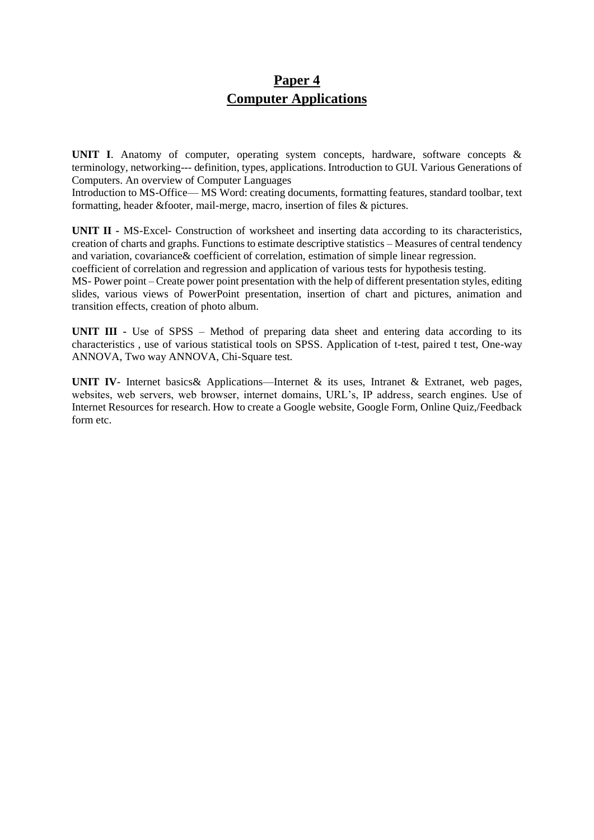## **Paper 4 Computer Applications**

UNIT I. Anatomy of computer, operating system concepts, hardware, software concepts & terminology, networking--- definition, types, applications. Introduction to GUI. Various Generations of Computers. An overview of Computer Languages

Introduction to MS-Office— MS Word: creating documents, formatting features, standard toolbar, text formatting, header &footer, mail-merge, macro, insertion of files & pictures.

**UNIT II -** MS-Excel- Construction of worksheet and inserting data according to its characteristics, creation of charts and graphs. Functions to estimate descriptive statistics – Measures of central tendency and variation, covariance& coefficient of correlation, estimation of simple linear regression.

coefficient of correlation and regression and application of various tests for hypothesis testing.

MS- Power point – Create power point presentation with the help of different presentation styles, editing slides, various views of PowerPoint presentation, insertion of chart and pictures, animation and transition effects, creation of photo album.

**UNIT III -** Use of SPSS – Method of preparing data sheet and entering data according to its characteristics , use of various statistical tools on SPSS. Application of t-test, paired t test, One-way ANNOVA, Two way ANNOVA, Chi-Square test.

**UNIT IV**- Internet basics& Applications—Internet & its uses, Intranet & Extranet, web pages, websites, web servers, web browser, internet domains, URL's, IP address, search engines. Use of Internet Resources for research. How to create a Google website, Google Form, Online Quiz,/Feedback form etc.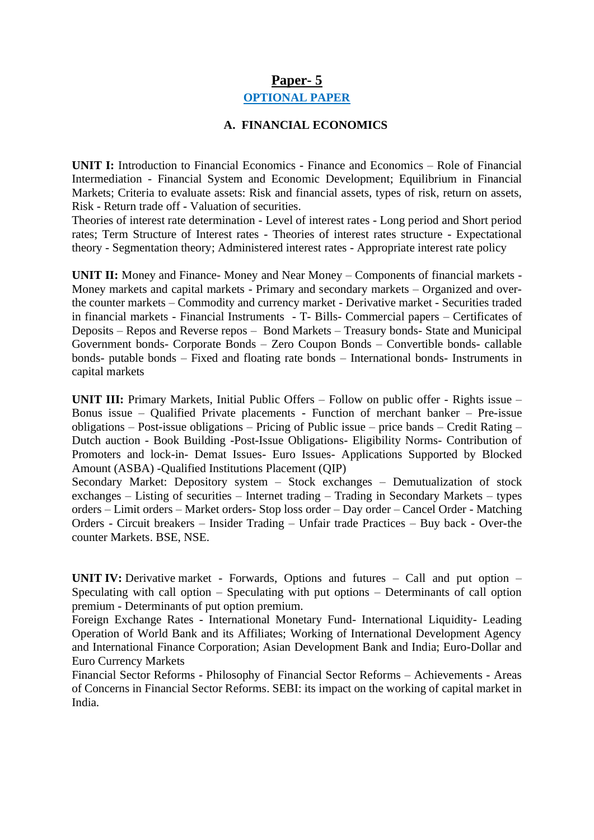#### **Paper- 5**

#### **OPTIONAL PAPER**

#### **A. FINANCIAL ECONOMICS**

**UNIT I:** Introduction to Financial Economics - Finance and Economics – Role of Financial Intermediation - Financial System and Economic Development; Equilibrium in Financial Markets; Criteria to evaluate assets: Risk and financial assets, types of risk, return on assets, Risk - Return trade off - Valuation of securities.

Theories of interest rate determination - Level of interest rates - Long period and Short period rates; Term Structure of Interest rates - Theories of interest rates structure - Expectational theory - Segmentation theory; Administered interest rates - Appropriate interest rate policy

**UNIT II:** Money and Finance- Money and Near Money – Components of financial markets -Money markets and capital markets - Primary and secondary markets – Organized and overthe counter markets – Commodity and currency market - Derivative market - Securities traded in financial markets - Financial Instruments - T- Bills- Commercial papers – Certificates of Deposits – Repos and Reverse repos – Bond Markets – Treasury bonds- State and Municipal Government bonds- Corporate Bonds – Zero Coupon Bonds – Convertible bonds- callable bonds- putable bonds – Fixed and floating rate bonds – International bonds- Instruments in capital markets

**UNIT III:** Primary Markets, Initial Public Offers – Follow on public offer - Rights issue – Bonus issue – Qualified Private placements - Function of merchant banker – Pre-issue obligations – Post-issue obligations – Pricing of Public issue – price bands – Credit Rating – Dutch auction - Book Building -Post-Issue Obligations- Eligibility Norms- Contribution of Promoters and lock-in- Demat Issues- Euro Issues- Applications Supported by Blocked Amount (ASBA) -Qualified Institutions Placement (QIP)

Secondary Market: Depository system – Stock exchanges – Demutualization of stock exchanges – Listing of securities – Internet trading – Trading in Secondary Markets – types orders – Limit orders – Market orders- Stop loss order – Day order – Cancel Order - Matching Orders - Circuit breakers – Insider Trading – Unfair trade Practices – Buy back - Over-the counter Markets. BSE, NSE.

**UNIT IV:** Derivative market - Forwards, Options and futures – Call and put option – Speculating with call option – Speculating with put options – Determinants of call option premium - Determinants of put option premium.

Foreign Exchange Rates - International Monetary Fund- International Liquidity- Leading Operation of World Bank and its Affiliates; Working of International Development Agency and International Finance Corporation; Asian Development Bank and India; Euro-Dollar and Euro Currency Markets

Financial Sector Reforms - Philosophy of Financial Sector Reforms – Achievements - Areas of Concerns in Financial Sector Reforms. SEBI: its impact on the working of capital market in India.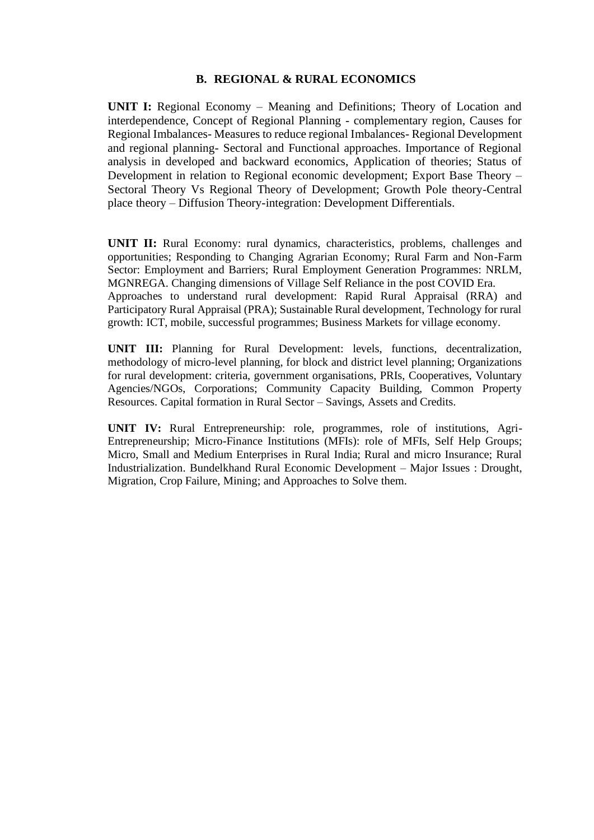#### **B. REGIONAL & RURAL ECONOMICS**

**UNIT I:** Regional Economy – Meaning and Definitions; Theory of Location and interdependence, Concept of Regional Planning - complementary region, Causes for Regional Imbalances- Measures to reduce regional Imbalances- Regional Development and regional planning- Sectoral and Functional approaches. Importance of Regional analysis in developed and backward economics, Application of theories; Status of Development in relation to Regional economic development; Export Base Theory – Sectoral Theory Vs Regional Theory of Development; Growth Pole theory-Central place theory – Diffusion Theory-integration: Development Differentials.

**UNIT II:** Rural Economy: rural dynamics, characteristics, problems, challenges and opportunities; Responding to Changing Agrarian Economy; Rural Farm and Non-Farm Sector: Employment and Barriers; Rural Employment Generation Programmes: NRLM, MGNREGA. Changing dimensions of Village Self Reliance in the post COVID Era. Approaches to understand rural development: Rapid Rural Appraisal (RRA) and Participatory Rural Appraisal (PRA); Sustainable Rural development, Technology for rural growth: ICT, mobile, successful programmes; Business Markets for village economy.

**UNIT III:** Planning for Rural Development: levels, functions, decentralization, methodology of micro-level planning, for block and district level planning; Organizations for rural development: criteria, government organisations, PRIs, Cooperatives, Voluntary Agencies/NGOs, Corporations; Community Capacity Building, Common Property Resources. Capital formation in Rural Sector – Savings, Assets and Credits.

**UNIT IV:** Rural Entrepreneurship: role, programmes, role of institutions, Agri-Entrepreneurship; Micro-Finance Institutions (MFIs): role of MFIs, Self Help Groups; Micro, Small and Medium Enterprises in Rural India; Rural and micro Insurance; Rural Industrialization. Bundelkhand Rural Economic Development – Major Issues : Drought, Migration, Crop Failure, Mining; and Approaches to Solve them.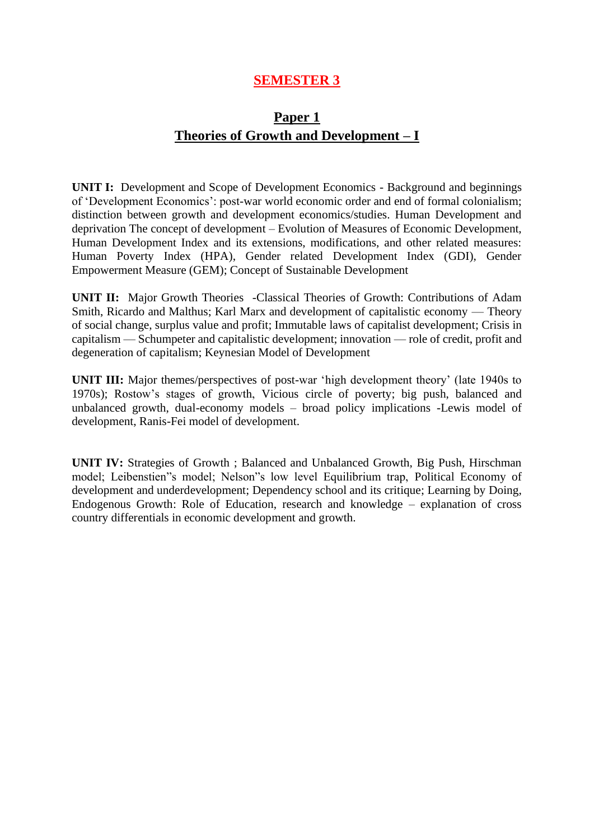### **SEMESTER 3**

### **Paper 1 Theories of Growth and Development – I**

**UNIT I:** Development and Scope of Development Economics - Background and beginnings of 'Development Economics': post-war world economic order and end of formal colonialism; distinction between growth and development economics/studies. Human Development and deprivation The concept of development – Evolution of Measures of Economic Development, Human Development Index and its extensions, modifications, and other related measures: Human Poverty Index (HPA), Gender related Development Index (GDI), Gender Empowerment Measure (GEM); Concept of Sustainable Development

**UNIT II:** Major Growth Theories -Classical Theories of Growth: Contributions of Adam Smith, Ricardo and Malthus; Karl Marx and development of capitalistic economy — Theory of social change, surplus value and profit; Immutable laws of capitalist development; Crisis in capitalism — Schumpeter and capitalistic development; innovation — role of credit, profit and degeneration of capitalism; Keynesian Model of Development

**UNIT III:** Major themes/perspectives of post-war 'high development theory' (late 1940s to 1970s); Rostow's stages of growth, Vicious circle of poverty; big push, balanced and unbalanced growth, dual-economy models – broad policy implications -Lewis model of development, Ranis-Fei model of development.

**UNIT IV:** Strategies of Growth ; Balanced and Unbalanced Growth, Big Push, Hirschman model; Leibenstien"s model; Nelson"s low level Equilibrium trap, Political Economy of development and underdevelopment; Dependency school and its critique; Learning by Doing, Endogenous Growth: Role of Education, research and knowledge – explanation of cross country differentials in economic development and growth.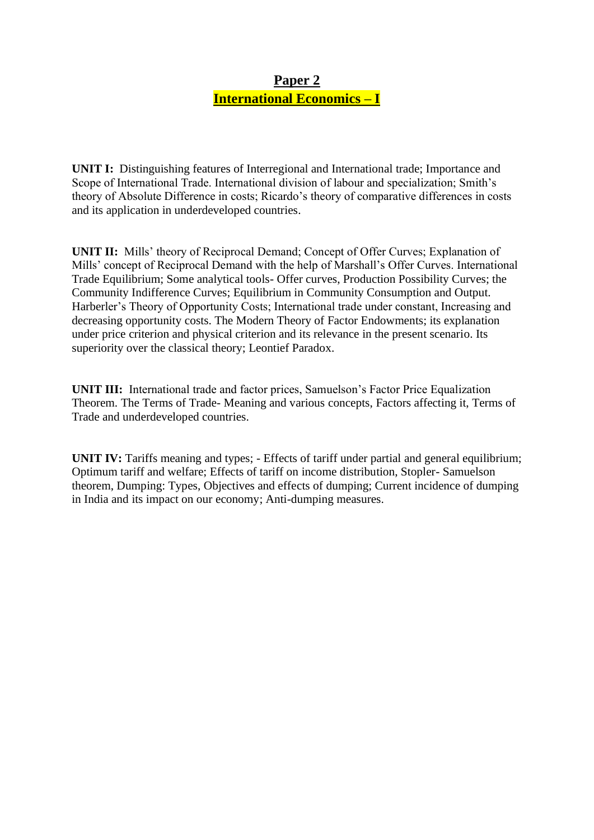## **Paper 2 International Economics – I**

**UNIT I:** Distinguishing features of Interregional and International trade; Importance and Scope of International Trade. International division of labour and specialization; Smith's theory of Absolute Difference in costs; Ricardo's theory of comparative differences in costs and its application in underdeveloped countries.

**UNIT II:** Mills' theory of Reciprocal Demand; Concept of Offer Curves; Explanation of Mills' concept of Reciprocal Demand with the help of Marshall's Offer Curves. International Trade Equilibrium; Some analytical tools- Offer curves, Production Possibility Curves; the Community Indifference Curves; Equilibrium in Community Consumption and Output. Harberler's Theory of Opportunity Costs; International trade under constant, Increasing and decreasing opportunity costs. The Modern Theory of Factor Endowments; its explanation under price criterion and physical criterion and its relevance in the present scenario. Its superiority over the classical theory; Leontief Paradox.

**UNIT III:** International trade and factor prices, Samuelson's Factor Price Equalization Theorem. The Terms of Trade- Meaning and various concepts, Factors affecting it, Terms of Trade and underdeveloped countries.

**UNIT IV:** Tariffs meaning and types; - Effects of tariff under partial and general equilibrium; Optimum tariff and welfare; Effects of tariff on income distribution, Stopler- Samuelson theorem, Dumping: Types, Objectives and effects of dumping; Current incidence of dumping in India and its impact on our economy; Anti-dumping measures.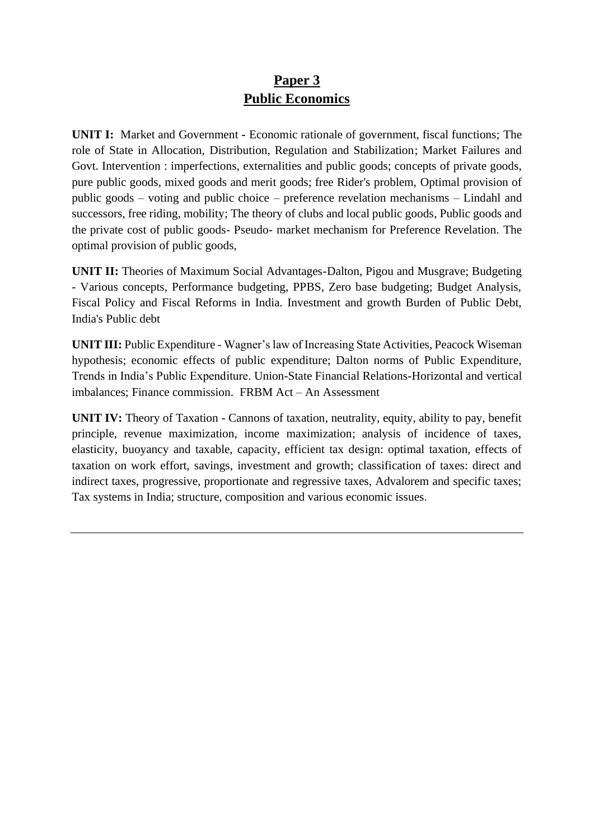# **Paper 3 Public Economics**

**UNIT I:** Market and Government **-** Economic rationale of government, fiscal functions; The role of State in Allocation, Distribution, Regulation and Stabilization; Market Failures and Govt. Intervention : imperfections, externalities and public goods; concepts of private goods, pure public goods, mixed goods and merit goods; free Rider's problem, Optimal provision of public goods – voting and public choice – preference revelation mechanisms – Lindahl and successors, free riding, mobility; The theory of clubs and local public goods, Public goods and the private cost of public goods- Pseudo- market mechanism for Preference Revelation. The optimal provision of public goods,

**UNIT II:** Theories of Maximum Social Advantages-Dalton, Pigou and Musgrave; Budgeting - Various concepts, Performance budgeting, PPBS, Zero base budgeting; Budget Analysis, Fiscal Policy and Fiscal Reforms in India. Investment and growth Burden of Public Debt, India's Public debt

**UNIT III:** Public Expenditure - Wagner's law of Increasing State Activities, Peacock Wiseman hypothesis; economic effects of public expenditure; Dalton norms of Public Expenditure, Trends in India's Public Expenditure. Union-State Financial Relations-Horizontal and vertical imbalances; Finance commission. FRBM Act – An Assessment

**UNIT IV:** Theory of Taxation - Cannons of taxation, neutrality, equity, ability to pay, benefit principle, revenue maximization, income maximization; analysis of incidence of taxes, elasticity, buoyancy and taxable, capacity, efficient tax design: optimal taxation, effects of taxation on work effort, savings, investment and growth; classification of taxes: direct and indirect taxes, progressive, proportionate and regressive taxes, Advalorem and specific taxes; Tax systems in India; structure, composition and various economic issues.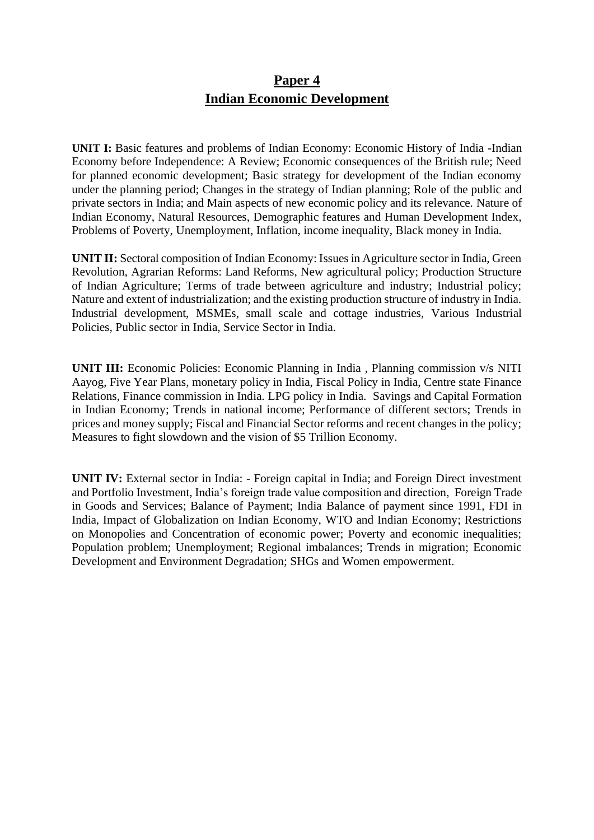### **Paper 4 Indian Economic Development**

**UNIT I:** Basic features and problems of Indian Economy: Economic History of India -Indian Economy before Independence: A Review; Economic consequences of the British rule; Need for planned economic development; Basic strategy for development of the Indian economy under the planning period; Changes in the strategy of Indian planning; Role of the public and private sectors in India; and Main aspects of new economic policy and its relevance. Nature of Indian Economy, Natural Resources, Demographic features and Human Development Index, Problems of Poverty, Unemployment, Inflation, income inequality, Black money in India.

**UNIT II:** Sectoral composition of Indian Economy: Issues in Agriculture sector in India, Green Revolution, Agrarian Reforms: Land Reforms, New agricultural policy; Production Structure of Indian Agriculture; Terms of trade between agriculture and industry; Industrial policy; Nature and extent of industrialization; and the existing production structure of industry in India. Industrial development, MSMEs, small scale and cottage industries, Various Industrial Policies, Public sector in India, Service Sector in India.

**UNIT III:** Economic Policies: Economic Planning in India , Planning commission v/s NITI Aayog, Five Year Plans, monetary policy in India, Fiscal Policy in India, Centre state Finance Relations, Finance commission in India. LPG policy in India. Savings and Capital Formation in Indian Economy; Trends in national income; Performance of different sectors; Trends in prices and money supply; Fiscal and Financial Sector reforms and recent changes in the policy; Measures to fight slowdown and the vision of \$5 Trillion Economy.

**UNIT IV:** External sector in India: - Foreign capital in India; and Foreign Direct investment and Portfolio Investment, India's foreign trade value composition and direction, Foreign Trade in Goods and Services; Balance of Payment; India Balance of payment since 1991, FDI in India, Impact of Globalization on Indian Economy, WTO and Indian Economy; Restrictions on Monopolies and Concentration of economic power; Poverty and economic inequalities; Population problem; Unemployment; Regional imbalances; Trends in migration; Economic Development and Environment Degradation; SHGs and Women empowerment.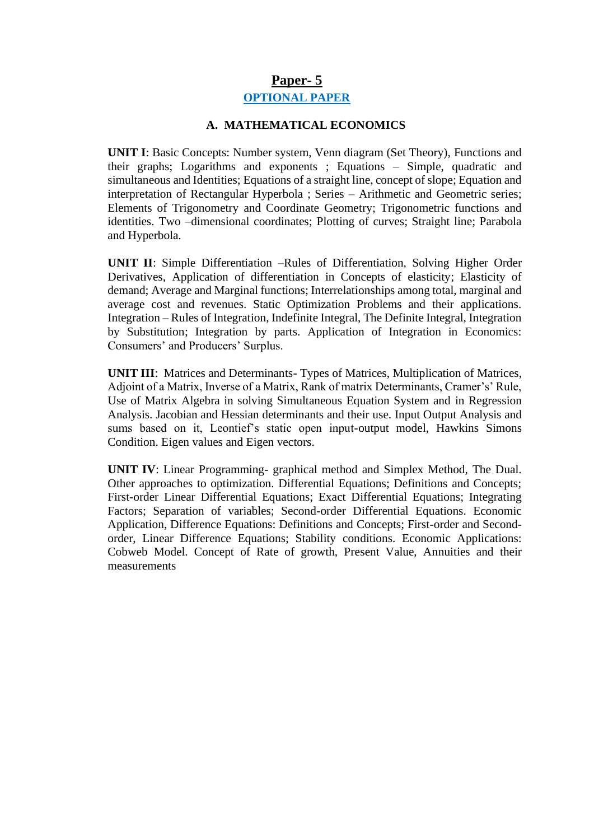### **Paper- 5**

#### **OPTIONAL PAPER**

#### **A. MATHEMATICAL ECONOMICS**

**UNIT I**: Basic Concepts: Number system, Venn diagram (Set Theory), Functions and their graphs; Logarithms and exponents ; Equations – Simple, quadratic and simultaneous and Identities; Equations of a straight line, concept of slope; Equation and interpretation of Rectangular Hyperbola ; Series – Arithmetic and Geometric series; Elements of Trigonometry and Coordinate Geometry; Trigonometric functions and identities. Two –dimensional coordinates; Plotting of curves; Straight line; Parabola and Hyperbola.

**UNIT II**: Simple Differentiation –Rules of Differentiation, Solving Higher Order Derivatives, Application of differentiation in Concepts of elasticity; Elasticity of demand; Average and Marginal functions; Interrelationships among total, marginal and average cost and revenues. Static Optimization Problems and their applications. Integration – Rules of Integration, Indefinite Integral, The Definite Integral, Integration by Substitution; Integration by parts. Application of Integration in Economics: Consumers' and Producers' Surplus.

**UNIT III**: Matrices and Determinants- Types of Matrices, Multiplication of Matrices, Adjoint of a Matrix, Inverse of a Matrix, Rank of matrix Determinants, Cramer's' Rule, Use of Matrix Algebra in solving Simultaneous Equation System and in Regression Analysis. Jacobian and Hessian determinants and their use. Input Output Analysis and sums based on it, Leontief's static open input-output model, Hawkins Simons Condition. Eigen values and Eigen vectors.

**UNIT IV**: Linear Programming- graphical method and Simplex Method, The Dual. Other approaches to optimization. Differential Equations; Definitions and Concepts; First-order Linear Differential Equations; Exact Differential Equations; Integrating Factors; Separation of variables; Second-order Differential Equations. Economic Application, Difference Equations: Definitions and Concepts; First-order and Secondorder, Linear Difference Equations; Stability conditions. Economic Applications: Cobweb Model. Concept of Rate of growth, Present Value, Annuities and their measurements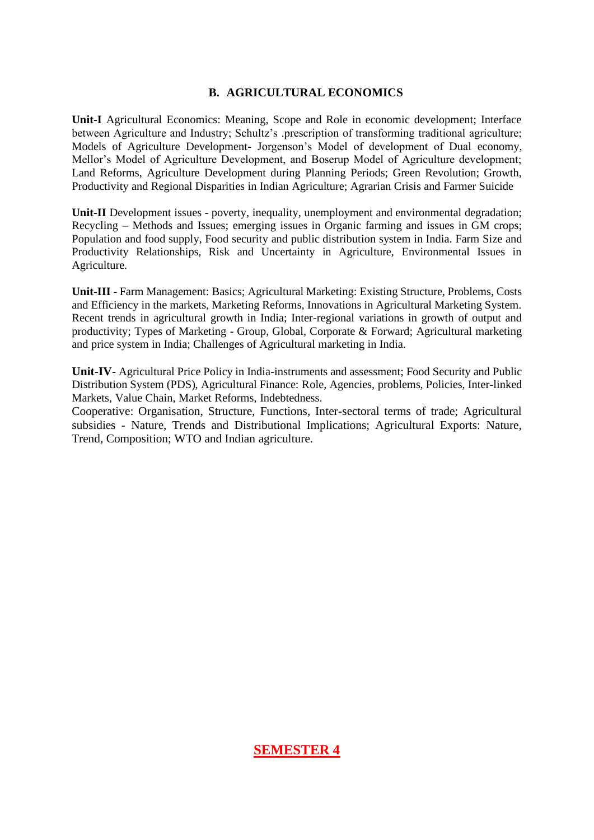#### **B. AGRICULTURAL ECONOMICS**

**Unit-I** Agricultural Economics: Meaning, Scope and Role in economic development; Interface between Agriculture and Industry; Schultz's .prescription of transforming traditional agriculture; Models of Agriculture Development- Jorgenson's Model of development of Dual economy, Mellor's Model of Agriculture Development, and Boserup Model of Agriculture development; Land Reforms, Agriculture Development during Planning Periods; Green Revolution; Growth, Productivity and Regional Disparities in Indian Agriculture; Agrarian Crisis and Farmer Suicide

Unit-II Development issues - poverty, inequality, unemployment and environmental degradation; Recycling – Methods and Issues; emerging issues in Organic farming and issues in GM crops; Population and food supply, Food security and public distribution system in India. Farm Size and Productivity Relationships, Risk and Uncertainty in Agriculture, Environmental Issues in Agriculture.

**Unit-III -** Farm Management: Basics; Agricultural Marketing: Existing Structure, Problems, Costs and Efficiency in the markets, Marketing Reforms, Innovations in Agricultural Marketing System. Recent trends in agricultural growth in India; Inter-regional variations in growth of output and productivity; Types of Marketing - Group, Global, Corporate & Forward; Agricultural marketing and price system in India; Challenges of Agricultural marketing in India.

**Unit-IV-** Agricultural Price Policy in India-instruments and assessment; Food Security and Public Distribution System (PDS), Agricultural Finance: Role, Agencies, problems, Policies, Inter-linked Markets, Value Chain, Market Reforms, Indebtedness.

Cooperative: Organisation, Structure, Functions, Inter-sectoral terms of trade; Agricultural subsidies - Nature, Trends and Distributional Implications; Agricultural Exports: Nature, Trend, Composition; WTO and Indian agriculture.

**SEMESTER 4**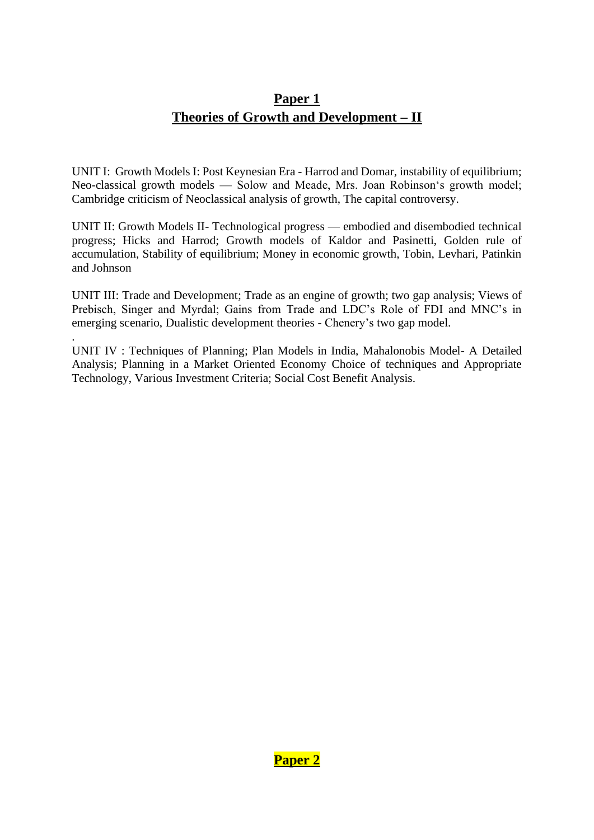# **Paper 1 Theories of Growth and Development – II**

UNIT I: Growth Models I: Post Keynesian Era - Harrod and Domar, instability of equilibrium; Neo-classical growth models — Solow and Meade, Mrs. Joan Robinson's growth model; Cambridge criticism of Neoclassical analysis of growth, The capital controversy.

UNIT II: Growth Models II- Technological progress — embodied and disembodied technical progress; Hicks and Harrod; Growth models of Kaldor and Pasinetti, Golden rule of accumulation, Stability of equilibrium; Money in economic growth, Tobin, Levhari, Patinkin and Johnson

UNIT III: Trade and Development; Trade as an engine of growth; two gap analysis; Views of Prebisch, Singer and Myrdal; Gains from Trade and LDC's Role of FDI and MNC's in emerging scenario, Dualistic development theories - Chenery's two gap model.

UNIT IV : Techniques of Planning; Plan Models in India, Mahalonobis Model- A Detailed Analysis; Planning in a Market Oriented Economy Choice of techniques and Appropriate Technology, Various Investment Criteria; Social Cost Benefit Analysis.

.

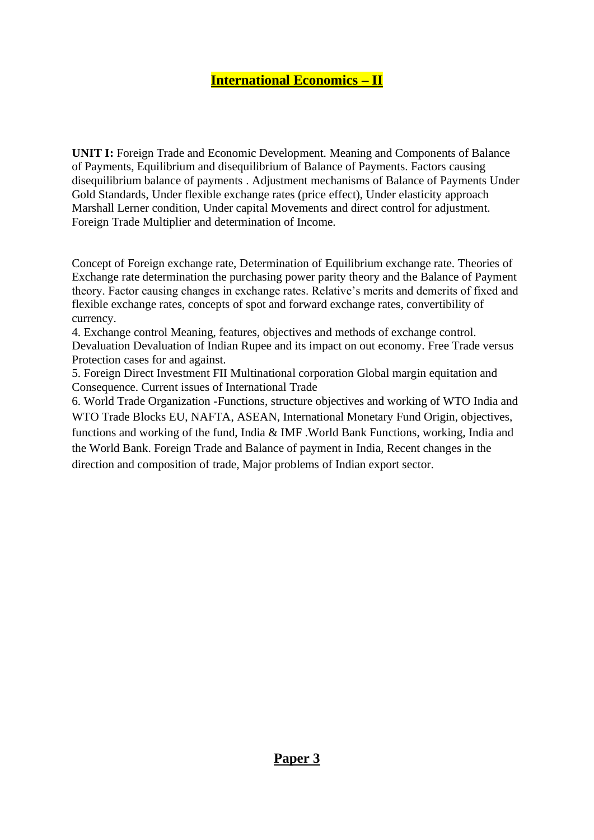### **International Economics – II**

**UNIT I:** Foreign Trade and Economic Development. Meaning and Components of Balance of Payments, Equilibrium and disequilibrium of Balance of Payments. Factors causing disequilibrium balance of payments . Adjustment mechanisms of Balance of Payments Under Gold Standards, Under flexible exchange rates (price effect), Under elasticity approach Marshall Lerner condition, Under capital Movements and direct control for adjustment. Foreign Trade Multiplier and determination of Income.

Concept of Foreign exchange rate, Determination of Equilibrium exchange rate. Theories of Exchange rate determination the purchasing power parity theory and the Balance of Payment theory. Factor causing changes in exchange rates. Relative's merits and demerits of fixed and flexible exchange rates, concepts of spot and forward exchange rates, convertibility of currency.

4. Exchange control Meaning, features, objectives and methods of exchange control. Devaluation Devaluation of Indian Rupee and its impact on out economy. Free Trade versus Protection cases for and against.

5. Foreign Direct Investment FII Multinational corporation Global margin equitation and Consequence. Current issues of International Trade

6. World Trade Organization -Functions, structure objectives and working of WTO India and WTO Trade Blocks EU, NAFTA, ASEAN, International Monetary Fund Origin, objectives, functions and working of the fund, India & IMF .World Bank Functions, working, India and the World Bank. Foreign Trade and Balance of payment in India, Recent changes in the direction and composition of trade, Major problems of Indian export sector.

#### **Paper 3**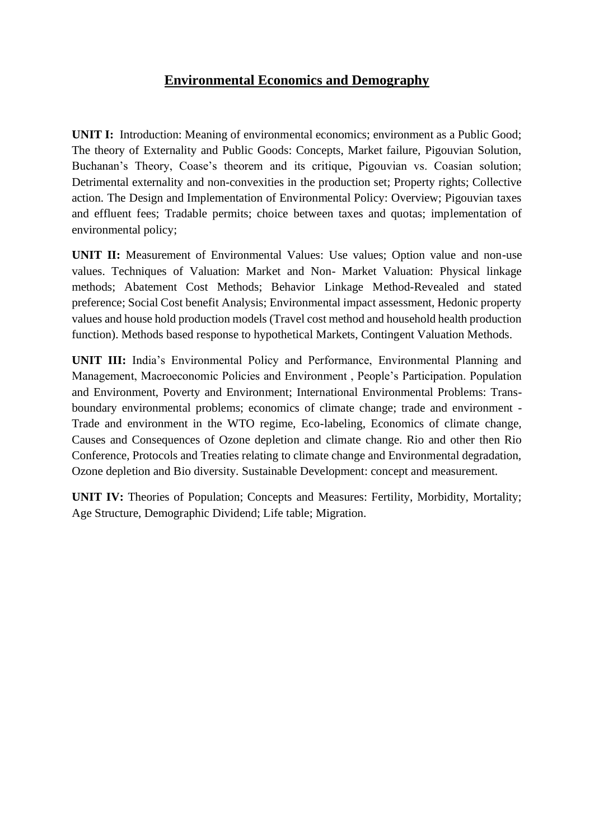### **Environmental Economics and Demography**

**UNIT I:** Introduction: Meaning of environmental economics; environment as a Public Good; The theory of Externality and Public Goods: Concepts, Market failure, Pigouvian Solution, Buchanan's Theory, Coase's theorem and its critique, Pigouvian vs. Coasian solution; Detrimental externality and non-convexities in the production set; Property rights; Collective action. The Design and Implementation of Environmental Policy: Overview; Pigouvian taxes and effluent fees; Tradable permits; choice between taxes and quotas; implementation of environmental policy;

**UNIT II:** Measurement of Environmental Values: Use values; Option value and non-use values. Techniques of Valuation: Market and Non- Market Valuation: Physical linkage methods; Abatement Cost Methods; Behavior Linkage Method-Revealed and stated preference; Social Cost benefit Analysis; Environmental impact assessment, Hedonic property values and house hold production models (Travel cost method and household health production function). Methods based response to hypothetical Markets, Contingent Valuation Methods.

**UNIT III:** India's Environmental Policy and Performance, Environmental Planning and Management, Macroeconomic Policies and Environment , People's Participation. Population and Environment, Poverty and Environment; International Environmental Problems: Transboundary environmental problems; economics of climate change; trade and environment - Trade and environment in the WTO regime, Eco-labeling, Economics of climate change, Causes and Consequences of Ozone depletion and climate change. Rio and other then Rio Conference, Protocols and Treaties relating to climate change and Environmental degradation, Ozone depletion and Bio diversity. Sustainable Development: concept and measurement.

**UNIT IV:** Theories of Population; Concepts and Measures: Fertility, Morbidity, Mortality; Age Structure, Demographic Dividend; Life table; Migration.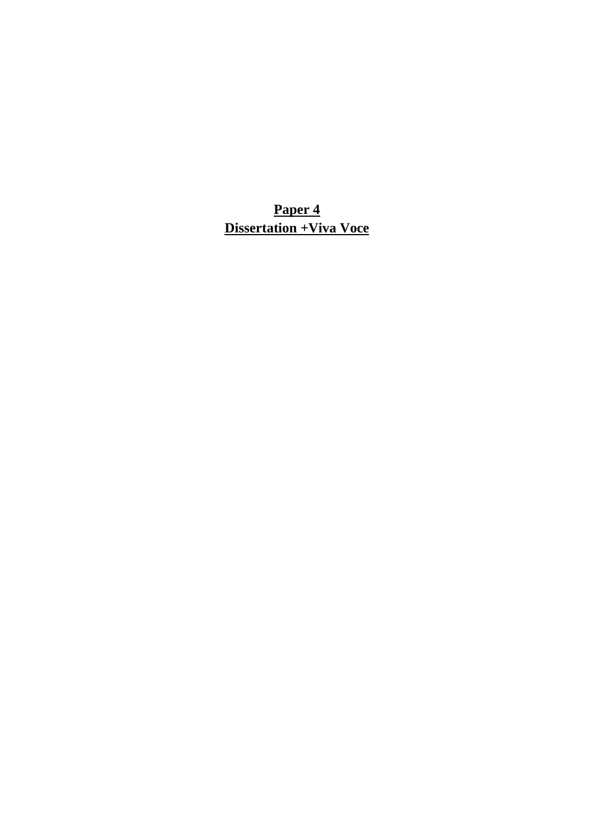**Paper 4 Dissertation +Viva Voce**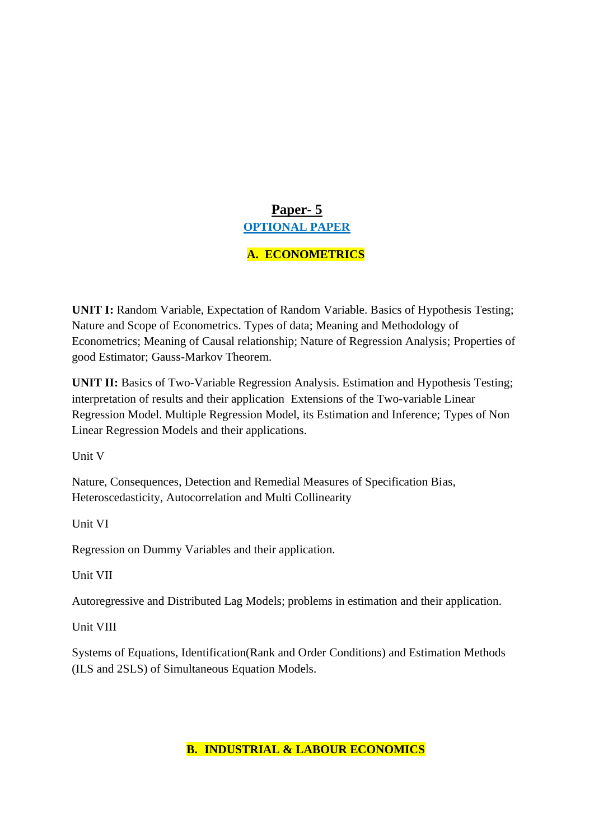# **Paper- 5 OPTIONAL PAPER**

### **A. ECONOMETRICS**

**UNIT I:** Random Variable, Expectation of Random Variable. Basics of Hypothesis Testing; Nature and Scope of Econometrics. Types of data; Meaning and Methodology of Econometrics; Meaning of Causal relationship; Nature of Regression Analysis; Properties of good Estimator; Gauss-Markov Theorem.

**UNIT II:** Basics of Two-Variable Regression Analysis. Estimation and Hypothesis Testing; interpretation of results and their application Extensions of the Two-variable Linear Regression Model. Multiple Regression Model, its Estimation and Inference; Types of Non Linear Regression Models and their applications.

Unit V

Nature, Consequences, Detection and Remedial Measures of Specification Bias, Heteroscedasticity, Autocorrelation and Multi Collinearity

Unit VI

Regression on Dummy Variables and their application.

Unit VII

Autoregressive and Distributed Lag Models; problems in estimation and their application.

Unit VIII

Systems of Equations, Identification(Rank and Order Conditions) and Estimation Methods (ILS and 2SLS) of Simultaneous Equation Models.

**B. INDUSTRIAL & LABOUR ECONOMICS**